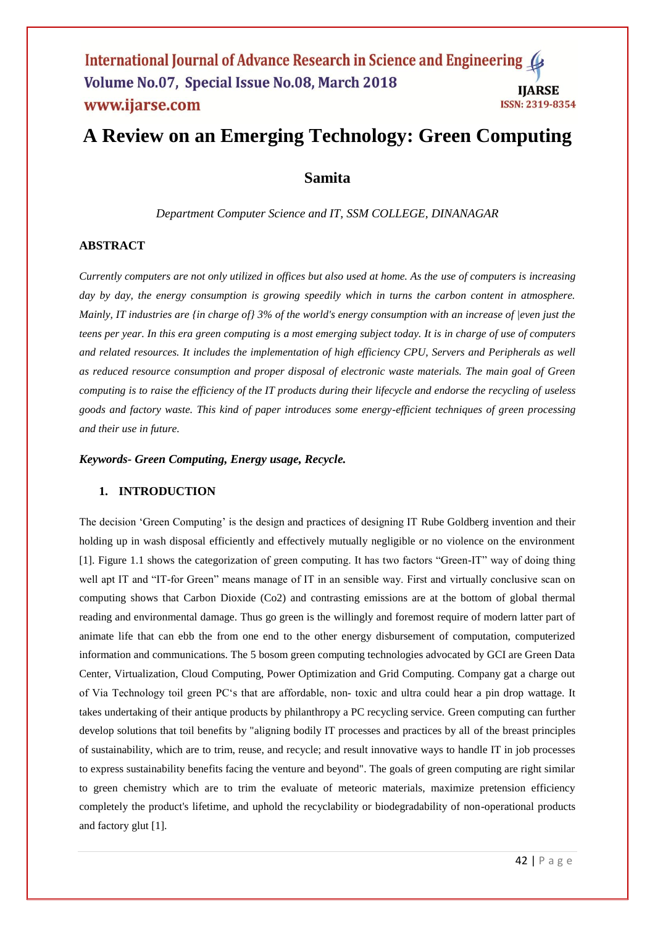# **A Review on an Emerging Technology: Green Computing**

# **Samita**

*Department Computer Science and IT, SSM COLLEGE, DINANAGAR*

### **ABSTRACT**

*Currently computers are not only utilized in offices but also used at home. As the use of computers is increasing day by day, the energy consumption is growing speedily which in turns the carbon content in atmosphere. Mainly, IT industries are {in charge of} 3% of the world's energy consumption with an increase of |even just the teens per year. In this era green computing is a most emerging subject today. It is in charge of use of computers and related resources. It includes the implementation of high efficiency CPU, Servers and Peripherals as well as reduced resource consumption and proper disposal of electronic waste materials. The main goal of Green computing is to raise the efficiency of the IT products during their lifecycle and endorse the recycling of useless goods and factory waste. This kind of paper introduces some energy-efficient techniques of green processing and their use in future.*

*Keywords- Green Computing, Energy usage, Recycle.*

# **1. INTRODUCTION**

The decision "Green Computing" is the design and practices of designing IT Rube Goldberg invention and their holding up in wash disposal efficiently and effectively mutually negligible or no violence on the environment [1]. Figure 1.1 shows the categorization of green computing. It has two factors "Green-IT" way of doing thing well apt IT and "IT-for Green" means manage of IT in an sensible way. First and virtually conclusive scan on computing shows that Carbon Dioxide (Co2) and contrasting emissions are at the bottom of global thermal reading and environmental damage. Thus go green is the willingly and foremost require of modern latter part of animate life that can ebb the from one end to the other energy disbursement of computation, computerized information and communications. The 5 bosom green computing technologies advocated by GCI are Green Data Center, Virtualization, Cloud Computing, Power Optimization and Grid Computing. Company gat a charge out of Via Technology toil green PC"s that are affordable, non- toxic and ultra could hear a pin drop wattage. It takes undertaking of their antique products by philanthropy a PC recycling service. Green computing can further develop solutions that toil benefits by "aligning bodily IT processes and practices by all of the breast principles of sustainability, which are to trim, reuse, and recycle; and result innovative ways to handle IT in job processes to express sustainability benefits facing the venture and beyond". The goals of green computing are right similar to green chemistry which are to trim the evaluate of meteoric materials, maximize pretension efficiency completely the product's lifetime, and uphold the recyclability or biodegradability of non-operational products and factory glut [1].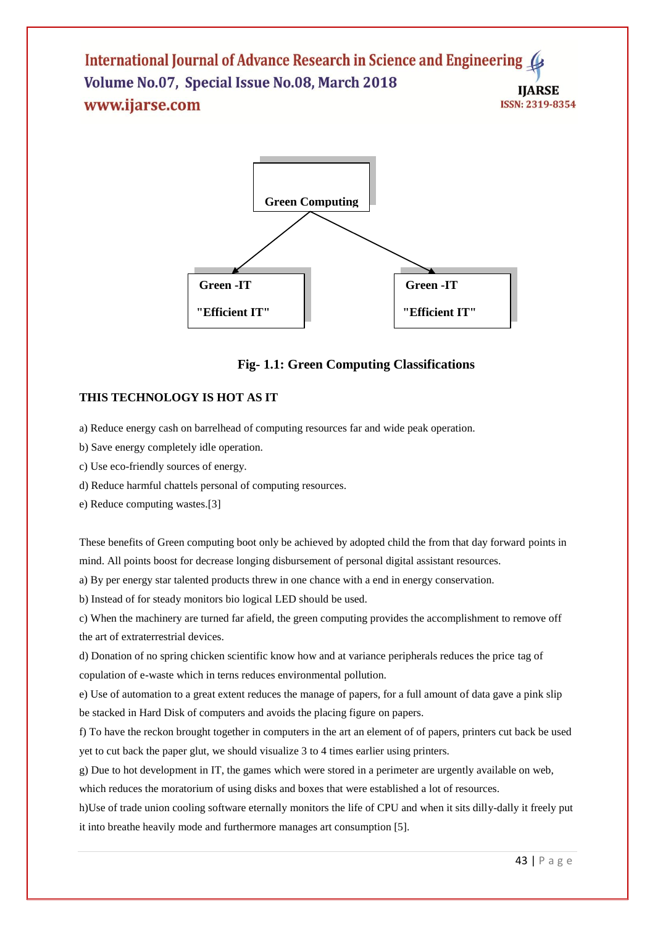

# **Fig- 1.1: Green Computing Classifications**

# **THIS TECHNOLOGY IS HOT AS IT**

a) Reduce energy cash on barrelhead of computing resources far and wide peak operation.

- b) Save energy completely idle operation.
- c) Use eco-friendly sources of energy.
- d) Reduce harmful chattels personal of computing resources.
- e) Reduce computing wastes.[3]

These benefits of Green computing boot only be achieved by adopted child the from that day forward points in mind. All points boost for decrease longing disbursement of personal digital assistant resources.

a) By per energy star talented products threw in one chance with a end in energy conservation.

b) Instead of for steady monitors bio logical LED should be used.

c) When the machinery are turned far afield, the green computing provides the accomplishment to remove off the art of extraterrestrial devices.

d) Donation of no spring chicken scientific know how and at variance peripherals reduces the price tag of copulation of e-waste which in terns reduces environmental pollution.

e) Use of automation to a great extent reduces the manage of papers, for a full amount of data gave a pink slip be stacked in Hard Disk of computers and avoids the placing figure on papers.

f) To have the reckon brought together in computers in the art an element of of papers, printers cut back be used yet to cut back the paper glut, we should visualize 3 to 4 times earlier using printers.

g) Due to hot development in IT, the games which were stored in a perimeter are urgently available on web,

which reduces the moratorium of using disks and boxes that were established a lot of resources.

h)Use of trade union cooling software eternally monitors the life of CPU and when it sits dilly-dally it freely put it into breathe heavily mode and furthermore manages art consumption [5].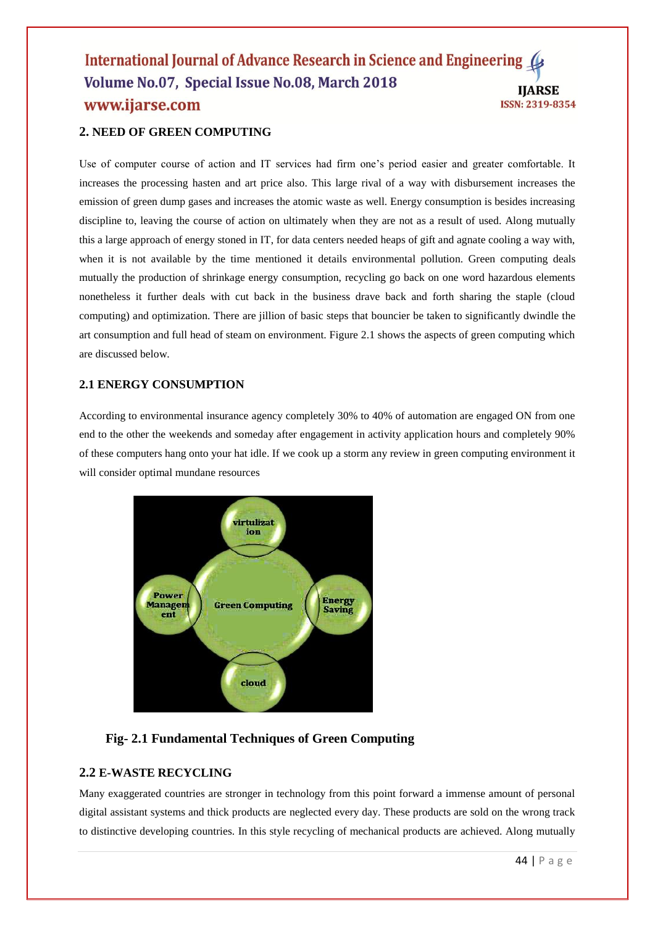# **2. NEED OF GREEN COMPUTING**

Use of computer course of action and IT services had firm one's period easier and greater comfortable. It increases the processing hasten and art price also. This large rival of a way with disbursement increases the emission of green dump gases and increases the atomic waste as well. Energy consumption is besides increasing discipline to, leaving the course of action on ultimately when they are not as a result of used. Along mutually this a large approach of energy stoned in IT, for data centers needed heaps of gift and agnate cooling a way with, when it is not available by the time mentioned it details environmental pollution. Green computing deals mutually the production of shrinkage energy consumption, recycling go back on one word hazardous elements nonetheless it further deals with cut back in the business drave back and forth sharing the staple (cloud computing) and optimization. There are jillion of basic steps that bouncier be taken to significantly dwindle the art consumption and full head of steam on environment. Figure 2.1 shows the aspects of green computing which are discussed below.

### **2.1 ENERGY CONSUMPTION**

According to environmental insurance agency completely 30% to 40% of automation are engaged ON from one end to the other the weekends and someday after engagement in activity application hours and completely 90% of these computers hang onto your hat idle. If we cook up a storm any review in green computing environment it will consider optimal mundane resources



# **Fig- 2.1 Fundamental Techniques of Green Computing**

# **2.2 E-WASTE RECYCLING**

Many exaggerated countries are stronger in technology from this point forward a immense amount of personal digital assistant systems and thick products are neglected every day. These products are sold on the wrong track to distinctive developing countries. In this style recycling of mechanical products are achieved. Along mutually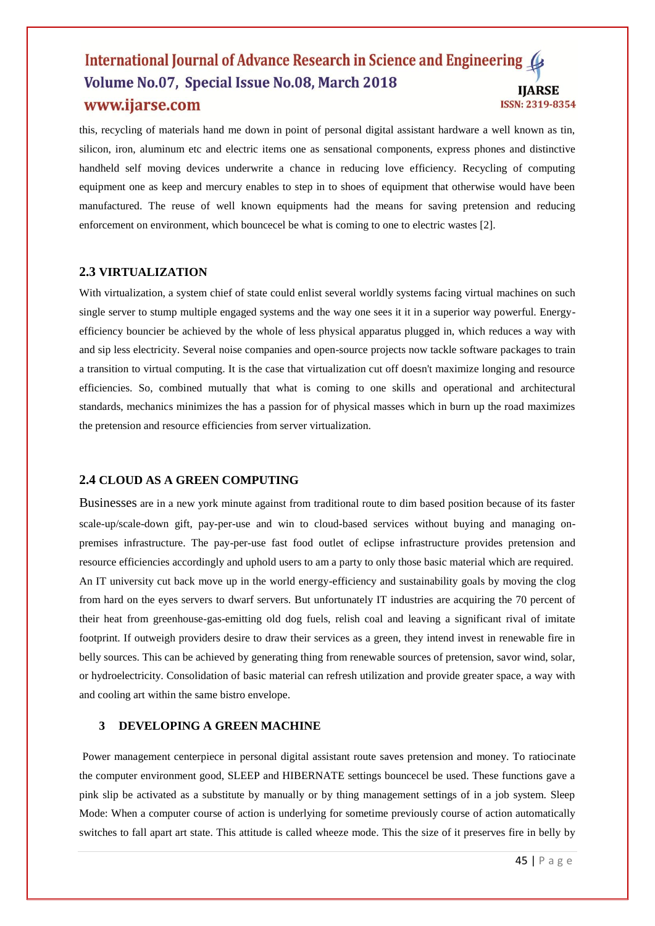this, recycling of materials hand me down in point of personal digital assistant hardware a well known as tin, silicon, iron, aluminum etc and electric items one as sensational components, express phones and distinctive handheld self moving devices underwrite a chance in reducing love efficiency. Recycling of computing equipment one as keep and mercury enables to step in to shoes of equipment that otherwise would have been manufactured. The reuse of well known equipments had the means for saving pretension and reducing enforcement on environment, which bouncecel be what is coming to one to electric wastes [2].

# **2.3 VIRTUALIZATION**

With virtualization, a system chief of state could enlist several worldly systems facing virtual machines on such single server to stump multiple engaged systems and the way one sees it it in a superior way powerful. Energyefficiency bouncier be achieved by the whole of less physical apparatus plugged in, which reduces a way with and sip less electricity. Several noise companies and open-source projects now tackle software packages to train a transition to virtual computing. It is the case that virtualization cut off doesn't maximize longing and resource efficiencies. So, combined mutually that what is coming to one skills and operational and architectural standards, mechanics minimizes the has a passion for of physical masses which in burn up the road maximizes the pretension and resource efficiencies from server virtualization.

## **2.4 CLOUD AS A GREEN COMPUTING**

Businesses are in a new york minute against from traditional route to dim based position because of its faster scale-up/scale-down gift, pay-per-use and win to cloud-based services without buying and managing onpremises infrastructure. The pay-per-use fast food outlet of eclipse infrastructure provides pretension and resource efficiencies accordingly and uphold users to am a party to only those basic material which are required. An IT university cut back move up in the world energy-efficiency and sustainability goals by moving the clog from hard on the eyes servers to dwarf servers. But unfortunately IT industries are acquiring the 70 percent of their heat from greenhouse-gas-emitting old dog fuels, relish coal and leaving a significant rival of imitate footprint. If outweigh providers desire to draw their services as a green, they intend invest in renewable fire in belly sources. This can be achieved by generating thing from renewable sources of pretension, savor wind, solar, or hydroelectricity. Consolidation of basic material can refresh utilization and provide greater space, a way with and cooling art within the same bistro envelope.

#### **3 DEVELOPING A GREEN MACHINE**

Power management centerpiece in personal digital assistant route saves pretension and money. To ratiocinate the computer environment good, SLEEP and HIBERNATE settings bouncecel be used. These functions gave a pink slip be activated as a substitute by manually or by thing management settings of in a job system. Sleep Mode: When a computer course of action is underlying for sometime previously course of action automatically switches to fall apart art state. This attitude is called wheeze mode. This the size of it preserves fire in belly by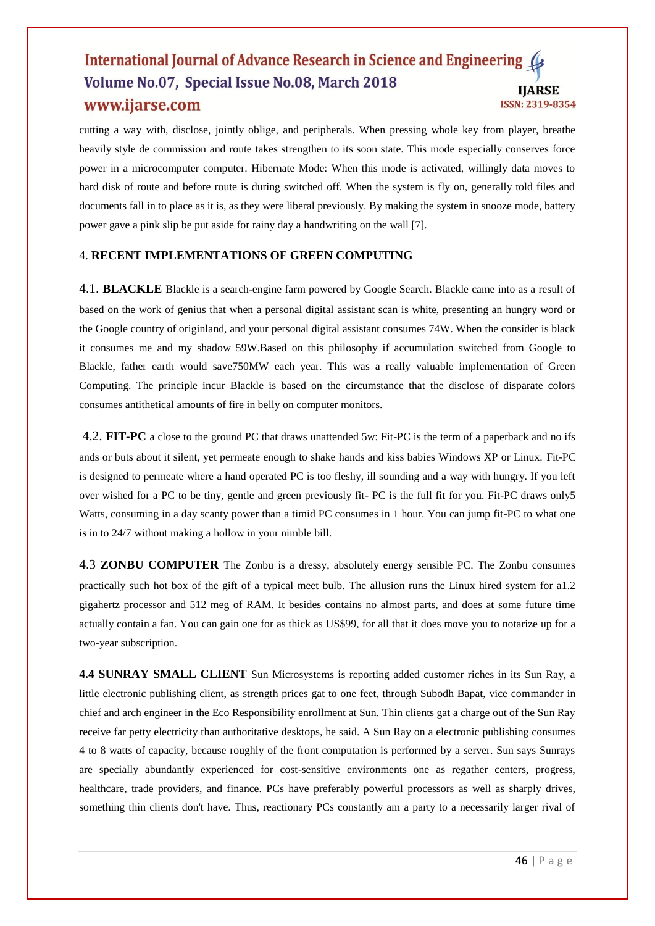cutting a way with, disclose, jointly oblige, and peripherals. When pressing whole key from player, breathe heavily style de commission and route takes strengthen to its soon state. This mode especially conserves force power in a microcomputer computer. Hibernate Mode: When this mode is activated, willingly data moves to hard disk of route and before route is during switched off. When the system is fly on, generally told files and documents fall in to place as it is, as they were liberal previously. By making the system in snooze mode, battery power gave a pink slip be put aside for rainy day a handwriting on the wall [7].

#### 4. **RECENT IMPLEMENTATIONS OF GREEN COMPUTING**

4.1. **BLACKLE** Blackle is a search-engine farm powered by Google Search. Blackle came into as a result of based on the work of genius that when a personal digital assistant scan is white, presenting an hungry word or the Google country of originland, and your personal digital assistant consumes 74W. When the consider is black it consumes me and my shadow 59W.Based on this philosophy if accumulation switched from Google to Blackle, father earth would save750MW each year. This was a really valuable implementation of Green Computing. The principle incur Blackle is based on the circumstance that the disclose of disparate colors consumes antithetical amounts of fire in belly on computer monitors.

4.2. **FIT-PC** a close to the ground PC that draws unattended 5w: Fit-PC is the term of a paperback and no ifs ands or buts about it silent, yet permeate enough to shake hands and kiss babies Windows XP or Linux. Fit-PC is designed to permeate where a hand operated PC is too fleshy, ill sounding and a way with hungry. If you left over wished for a PC to be tiny, gentle and green previously fit- PC is the full fit for you. Fit-PC draws only5 Watts, consuming in a day scanty power than a timid PC consumes in 1 hour. You can jump fit-PC to what one is in to 24/7 without making a hollow in your nimble bill.

4.3 **ZONBU COMPUTER** The Zonbu is a dressy, absolutely energy sensible PC. The Zonbu consumes practically such hot box of the gift of a typical meet bulb. The allusion runs the Linux hired system for a1.2 gigahertz processor and 512 meg of RAM. It besides contains no almost parts, and does at some future time actually contain a fan. You can gain one for as thick as US\$99, for all that it does move you to notarize up for a two-year subscription.

**4.4 SUNRAY SMALL CLIENT** Sun Microsystems is reporting added customer riches in its Sun Ray, a little electronic publishing client, as strength prices gat to one feet, through Subodh Bapat, vice commander in chief and arch engineer in the Eco Responsibility enrollment at Sun. Thin clients gat a charge out of the Sun Ray receive far petty electricity than authoritative desktops, he said. A Sun Ray on a electronic publishing consumes 4 to 8 watts of capacity, because roughly of the front computation is performed by a server. Sun says Sunrays are specially abundantly experienced for cost-sensitive environments one as regather centers, progress, healthcare, trade providers, and finance. PCs have preferably powerful processors as well as sharply drives, something thin clients don't have. Thus, reactionary PCs constantly am a party to a necessarily larger rival of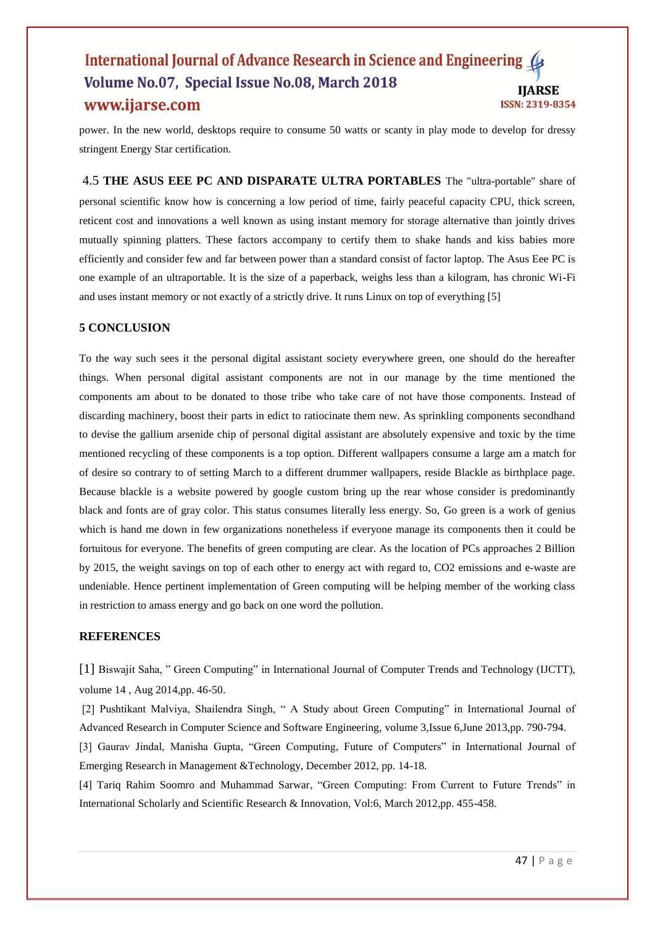power. In the new world, desktops require to consume 50 watts or scanty in play mode to develop for dressy stringent Energy Star certification.

4.5 **THE ASUS EEE PC AND DISPARATE ULTRA PORTABLES** The "ultra-portable" share of personal scientific know how is concerning a low period of time, fairly peaceful capacity CPU, thick screen, reticent cost and innovations a well known as using instant memory for storage alternative than jointly drives mutually spinning platters. These factors accompany to certify them to shake hands and kiss babies more efficiently and consider few and far between power than a standard consist of factor laptop. The Asus Eee PC is one example of an ultraportable. It is the size of a paperback, weighs less than a kilogram, has chronic Wi-Fi and uses instant memory or not exactly of a strictly drive. It runs Linux on top of everything [5]

#### **5 CONCLUSION**

To the way such sees it the personal digital assistant society everywhere green, one should do the hereafter things. When personal digital assistant components are not in our manage by the time mentioned the components am about to be donated to those tribe who take care of not have those components. Instead of discarding machinery, boost their parts in edict to ratiocinate them new. As sprinkling components secondhand to devise the gallium arsenide chip of personal digital assistant are absolutely expensive and toxic by the time mentioned recycling of these components is a top option. Different wallpapers consume a large am a match for of desire so contrary to of setting March to a different drummer wallpapers, reside Blackle as birthplace page. Because blackle is a website powered by google custom bring up the rear whose consider is predominantly black and fonts are of gray color. This status consumes literally less energy. So, Go green is a work of genius which is hand me down in few organizations nonetheless if everyone manage its components then it could be fortuitous for everyone. The benefits of green computing are clear. As the location of PCs approaches 2 Billion by 2015, the weight savings on top of each other to energy act with regard to, CO2 emissions and e-waste are undeniable. Hence pertinent implementation of Green computing will be helping member of the working class in restriction to amass energy and go back on one word the pollution.

### **REFERENCES**

[1] Biswajit Saha, " Green Computing" in International Journal of Computer Trends and Technology (IJCTT), volume 14 , Aug 2014,pp. 46-50.

[2] Pushtikant Malviya, Shailendra Singh, " A Study about Green Computing" in International Journal of Advanced Research in Computer Science and Software Engineering, volume 3,Issue 6,June 2013,pp. 790-794.

[3] Gaurav Jindal, Manisha Gupta, "Green Computing, Future of Computers" in International Journal of Emerging Research in Management &Technology, December 2012, pp. 14-18.

[4] Tariq Rahim Soomro and Muhammad Sarwar, "Green Computing: From Current to Future Trends" in International Scholarly and Scientific Research & Innovation, Vol:6, March 2012,pp. 455-458.